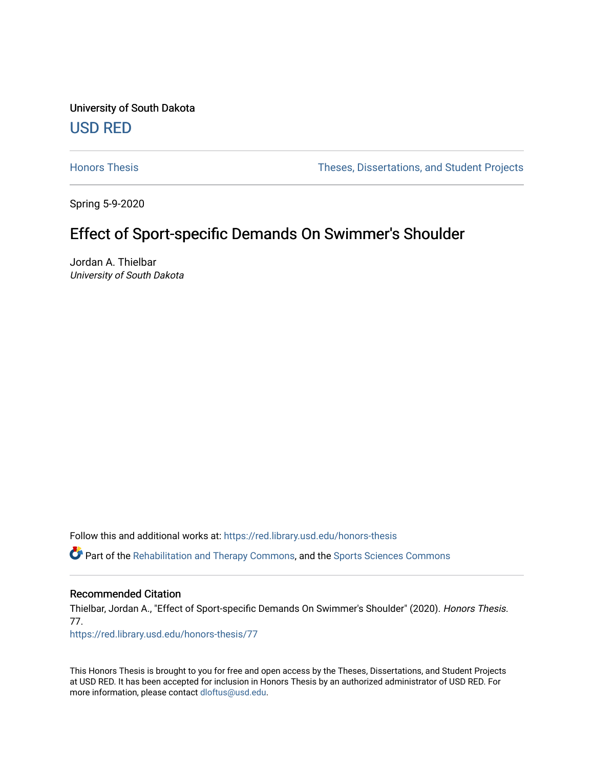University of South Dakota [USD RED](https://red.library.usd.edu/) 

[Honors Thesis](https://red.library.usd.edu/honors-thesis) Theses, Dissertations, and Student Projects

Spring 5-9-2020

# Effect of Sport-specific Demands On Swimmer's Shoulder

Jordan A. Thielbar University of South Dakota

Follow this and additional works at: [https://red.library.usd.edu/honors-thesis](https://red.library.usd.edu/honors-thesis?utm_source=red.library.usd.edu%2Fhonors-thesis%2F77&utm_medium=PDF&utm_campaign=PDFCoverPages) 

Part of the [Rehabilitation and Therapy Commons,](http://network.bepress.com/hgg/discipline/749?utm_source=red.library.usd.edu%2Fhonors-thesis%2F77&utm_medium=PDF&utm_campaign=PDFCoverPages) and the [Sports Sciences Commons](http://network.bepress.com/hgg/discipline/759?utm_source=red.library.usd.edu%2Fhonors-thesis%2F77&utm_medium=PDF&utm_campaign=PDFCoverPages) 

## Recommended Citation

Thielbar, Jordan A., "Effect of Sport-specific Demands On Swimmer's Shoulder" (2020). Honors Thesis. 77.

[https://red.library.usd.edu/honors-thesis/77](https://red.library.usd.edu/honors-thesis/77?utm_source=red.library.usd.edu%2Fhonors-thesis%2F77&utm_medium=PDF&utm_campaign=PDFCoverPages) 

This Honors Thesis is brought to you for free and open access by the Theses, Dissertations, and Student Projects at USD RED. It has been accepted for inclusion in Honors Thesis by an authorized administrator of USD RED. For more information, please contact [dloftus@usd.edu](mailto:dloftus@usd.edu).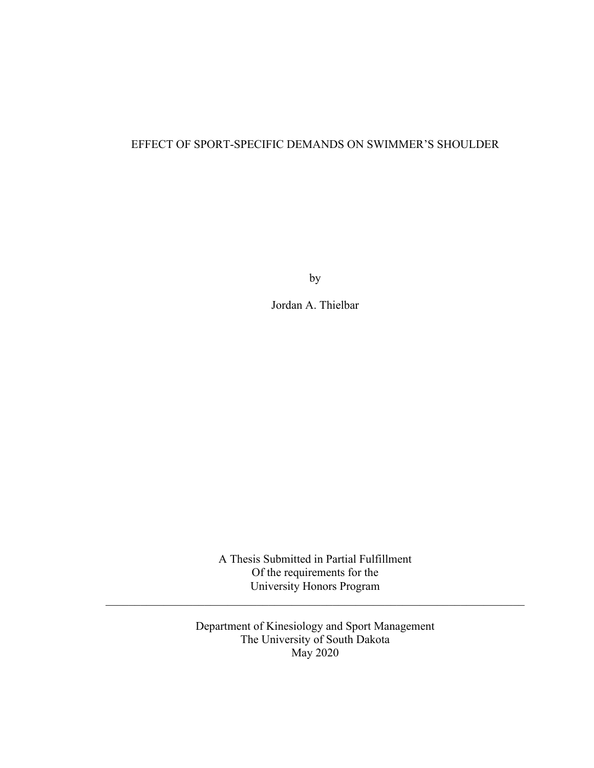## EFFECT OF SPORT-SPECIFIC DEMANDS ON SWIMMER'S SHOULDER

by

Jordan A. Thielbar

A Thesis Submitted in Partial Fulfillment Of the requirements for the University Honors Program

 $\mathcal{L}_\text{G}$  , and the contribution of the contribution of the contribution of the contribution of the contribution of the contribution of the contribution of the contribution of the contribution of the contribution of t

Department of Kinesiology and Sport Management The University of South Dakota May 2020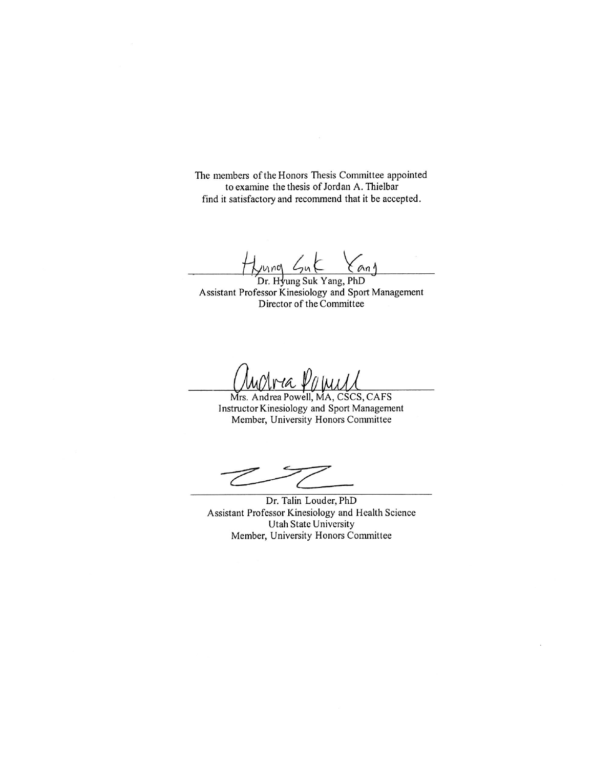The members of the Honors Thesis Committee appointed to examine the thesis of Jordan A. Thielbar find it satisfactory and recommend that it be accepted.

 $\mathcal{L}_{\nu}$ nna  $an<sub>1</sub>$ 

Dr. Hyung Suk Yang, PhD Assistant Professor Kinesiology and Sport Management Director of the Committee

 $rraV$ 

Mrs. Andrea Powell, MA, CSCS, CAFS Instructor Kinesiology and Sport Management Member, University Honors Committee

Dr. Talin Louder, PhD Assistant Professor Kinesiology and Health Science Utah State University Member, University Honors Committee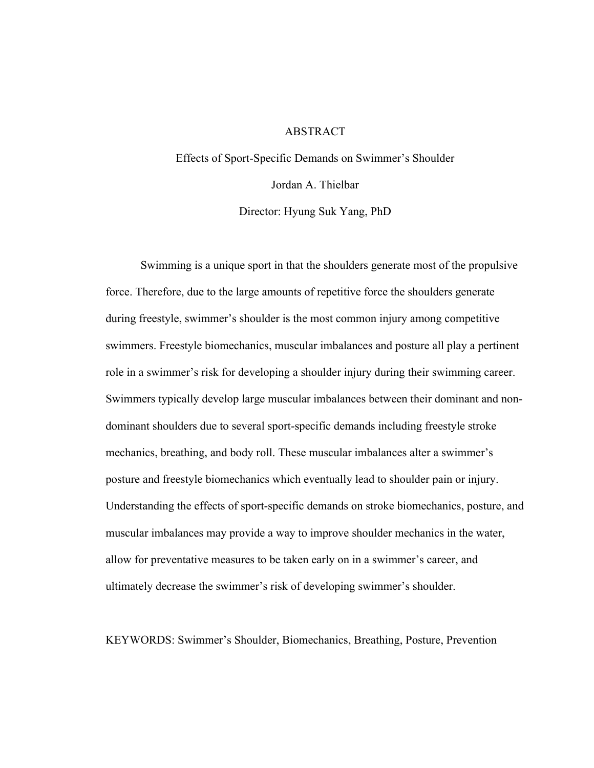## ABSTRACT

Effects of Sport-Specific Demands on Swimmer's Shoulder Jordan A. Thielbar Director: Hyung Suk Yang, PhD

 Swimming is a unique sport in that the shoulders generate most of the propulsive force. Therefore, due to the large amounts of repetitive force the shoulders generate during freestyle, swimmer's shoulder is the most common injury among competitive swimmers. Freestyle biomechanics, muscular imbalances and posture all play a pertinent role in a swimmer's risk for developing a shoulder injury during their swimming career. Swimmers typically develop large muscular imbalances between their dominant and nondominant shoulders due to several sport-specific demands including freestyle stroke mechanics, breathing, and body roll. These muscular imbalances alter a swimmer's posture and freestyle biomechanics which eventually lead to shoulder pain or injury. Understanding the effects of sport-specific demands on stroke biomechanics, posture, and muscular imbalances may provide a way to improve shoulder mechanics in the water, allow for preventative measures to be taken early on in a swimmer's career, and ultimately decrease the swimmer's risk of developing swimmer's shoulder.

KEYWORDS: Swimmer's Shoulder, Biomechanics, Breathing, Posture, Prevention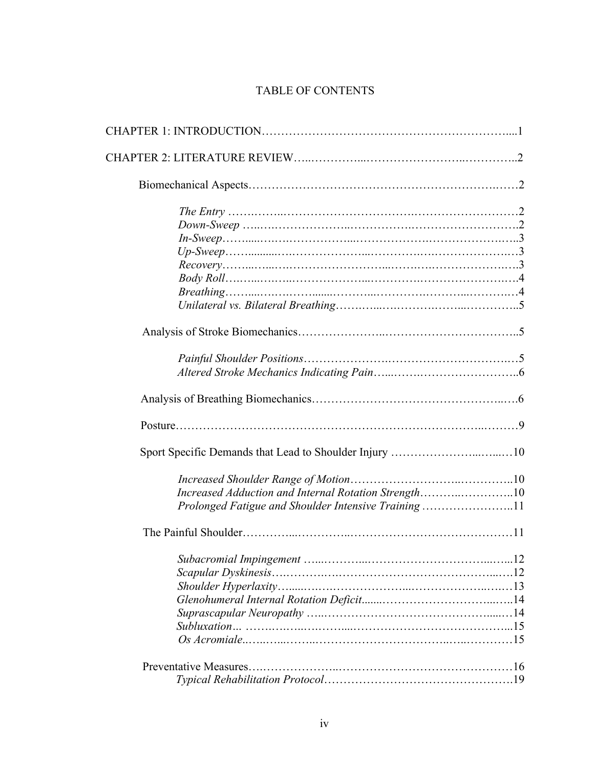## TABLE OF CONTENTS

| Increased Adduction and Internal Rotation Strength10 |
|------------------------------------------------------|
| Prolonged Fatigue and Shoulder Intensive Training11  |
|                                                      |
|                                                      |
|                                                      |
|                                                      |
|                                                      |
|                                                      |
|                                                      |
|                                                      |
|                                                      |
|                                                      |
|                                                      |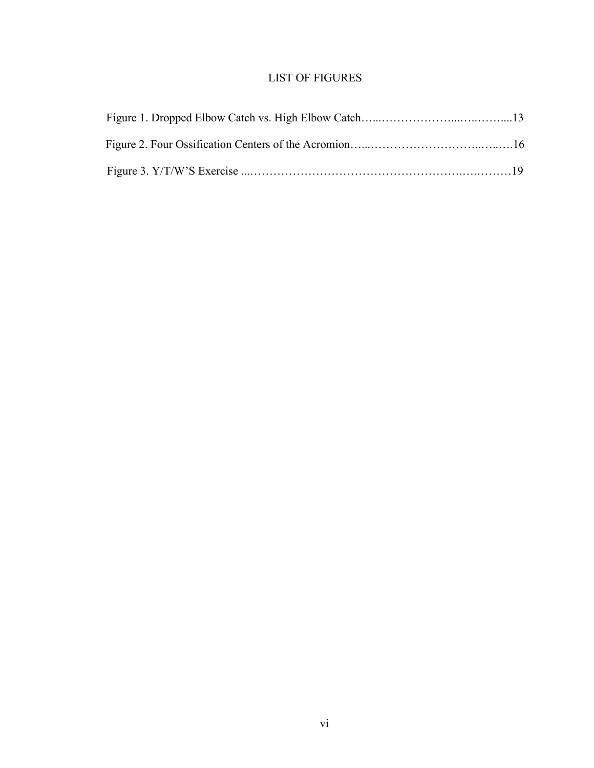## LIST OF FIGURES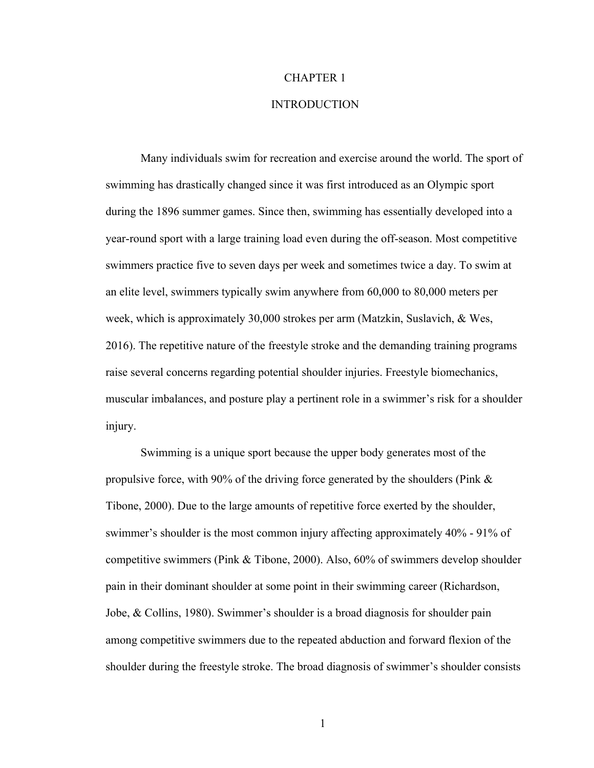## CHAPTER 1

#### INTRODUCTION

Many individuals swim for recreation and exercise around the world. The sport of swimming has drastically changed since it was first introduced as an Olympic sport during the 1896 summer games. Since then, swimming has essentially developed into a year-round sport with a large training load even during the off-season. Most competitive swimmers practice five to seven days per week and sometimes twice a day. To swim at an elite level, swimmers typically swim anywhere from 60,000 to 80,000 meters per week, which is approximately 30,000 strokes per arm (Matzkin, Suslavich, & Wes, 2016). The repetitive nature of the freestyle stroke and the demanding training programs raise several concerns regarding potential shoulder injuries. Freestyle biomechanics, muscular imbalances, and posture play a pertinent role in a swimmer's risk for a shoulder injury.

Swimming is a unique sport because the upper body generates most of the propulsive force, with 90% of the driving force generated by the shoulders (Pink & Tibone, 2000). Due to the large amounts of repetitive force exerted by the shoulder, swimmer's shoulder is the most common injury affecting approximately 40% - 91% of competitive swimmers (Pink & Tibone, 2000). Also, 60% of swimmers develop shoulder pain in their dominant shoulder at some point in their swimming career (Richardson, Jobe, & Collins, 1980). Swimmer's shoulder is a broad diagnosis for shoulder pain among competitive swimmers due to the repeated abduction and forward flexion of the shoulder during the freestyle stroke. The broad diagnosis of swimmer's shoulder consists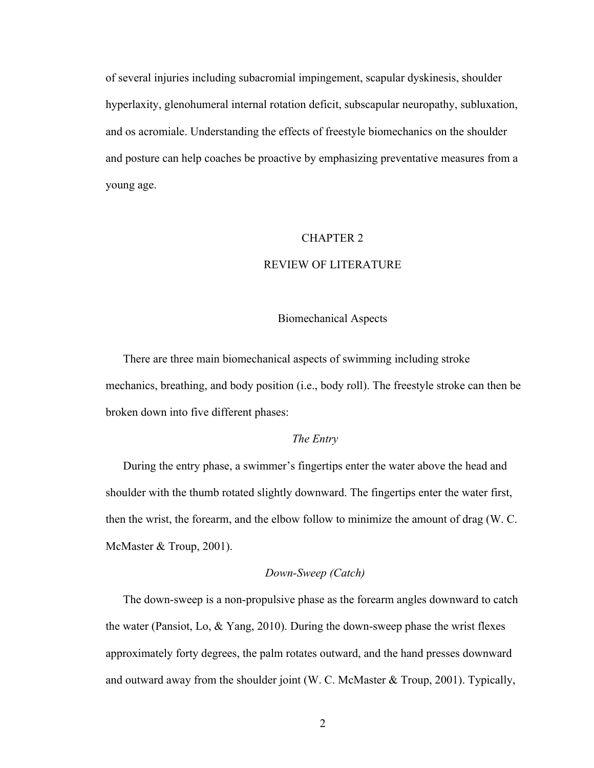of several injuries including subacromial impingement, scapular dyskinesis, shoulder hyperlaxity, glenohumeral internal rotation deficit, subscapular neuropathy, subluxation, and os acromiale. Understanding the effects of freestyle biomechanics on the shoulder and posture can help coaches be proactive by emphasizing preventative measures from a young age.

#### CHAPTER 2

## REVIEW OF LITERATURE

#### Biomechanical Aspects

There are three main biomechanical aspects of swimming including stroke mechanics, breathing, and body position (i.e., body roll). The freestyle stroke can then be broken down into five different phases:

## *The Entry*

During the entry phase, a swimmer's fingertips enter the water above the head and shoulder with the thumb rotated slightly downward. The fingertips enter the water first, then the wrist, the forearm, and the elbow follow to minimize the amount of drag (W. C. McMaster & Troup, 2001).

## *Down-Sweep (Catch)*

The down-sweep is a non-propulsive phase as the forearm angles downward to catch the water (Pansiot, Lo, & Yang, 2010). During the down-sweep phase the wrist flexes approximately forty degrees, the palm rotates outward, and the hand presses downward and outward away from the shoulder joint (W. C. McMaster & Troup, 2001). Typically,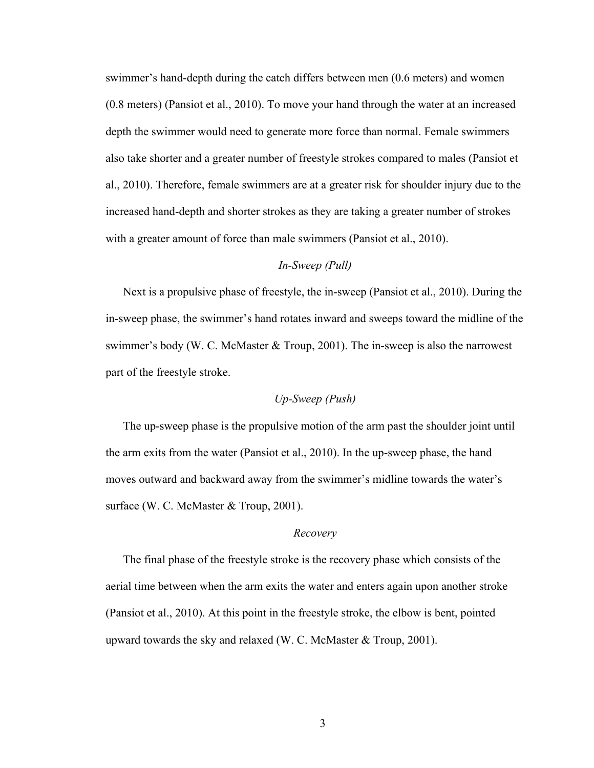swimmer's hand-depth during the catch differs between men (0.6 meters) and women (0.8 meters) (Pansiot et al., 2010). To move your hand through the water at an increased depth the swimmer would need to generate more force than normal. Female swimmers also take shorter and a greater number of freestyle strokes compared to males (Pansiot et al., 2010). Therefore, female swimmers are at a greater risk for shoulder injury due to the increased hand-depth and shorter strokes as they are taking a greater number of strokes with a greater amount of force than male swimmers (Pansiot et al., 2010).

## *In-Sweep (Pull)*

Next is a propulsive phase of freestyle, the in-sweep (Pansiot et al., 2010). During the in-sweep phase, the swimmer's hand rotates inward and sweeps toward the midline of the swimmer's body (W. C. McMaster & Troup, 2001). The in-sweep is also the narrowest part of the freestyle stroke.

## *Up-Sweep (Push)*

The up-sweep phase is the propulsive motion of the arm past the shoulder joint until the arm exits from the water (Pansiot et al., 2010). In the up-sweep phase, the hand moves outward and backward away from the swimmer's midline towards the water's surface (W. C. McMaster & Troup, 2001).

## *Recovery*

The final phase of the freestyle stroke is the recovery phase which consists of the aerial time between when the arm exits the water and enters again upon another stroke (Pansiot et al., 2010). At this point in the freestyle stroke, the elbow is bent, pointed upward towards the sky and relaxed (W. C. McMaster & Troup, 2001).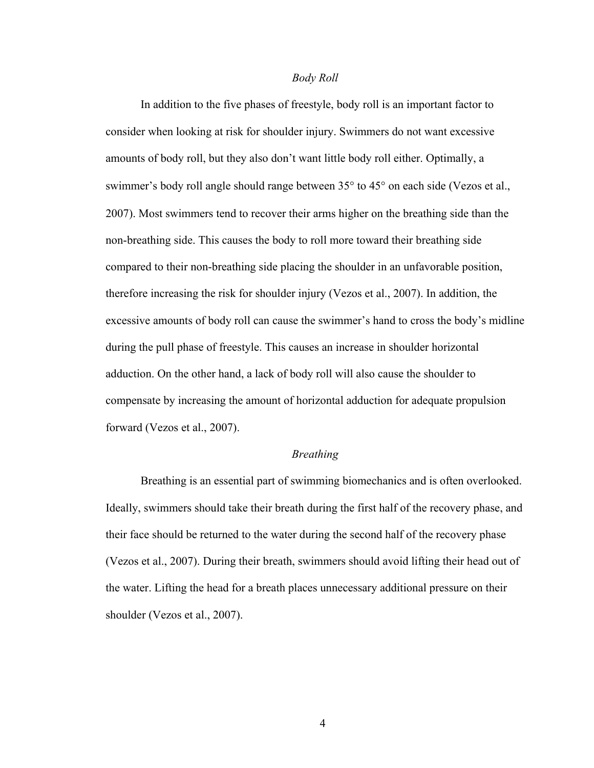#### *Body Roll*

In addition to the five phases of freestyle, body roll is an important factor to consider when looking at risk for shoulder injury. Swimmers do not want excessive amounts of body roll, but they also don't want little body roll either. Optimally, a swimmer's body roll angle should range between 35° to 45° on each side (Vezos et al., 2007). Most swimmers tend to recover their arms higher on the breathing side than the non-breathing side. This causes the body to roll more toward their breathing side compared to their non-breathing side placing the shoulder in an unfavorable position, therefore increasing the risk for shoulder injury (Vezos et al., 2007). In addition, the excessive amounts of body roll can cause the swimmer's hand to cross the body's midline during the pull phase of freestyle. This causes an increase in shoulder horizontal adduction. On the other hand, a lack of body roll will also cause the shoulder to compensate by increasing the amount of horizontal adduction for adequate propulsion forward (Vezos et al., 2007).

## *Breathing*

 Breathing is an essential part of swimming biomechanics and is often overlooked. Ideally, swimmers should take their breath during the first half of the recovery phase, and their face should be returned to the water during the second half of the recovery phase (Vezos et al., 2007). During their breath, swimmers should avoid lifting their head out of the water. Lifting the head for a breath places unnecessary additional pressure on their shoulder (Vezos et al., 2007).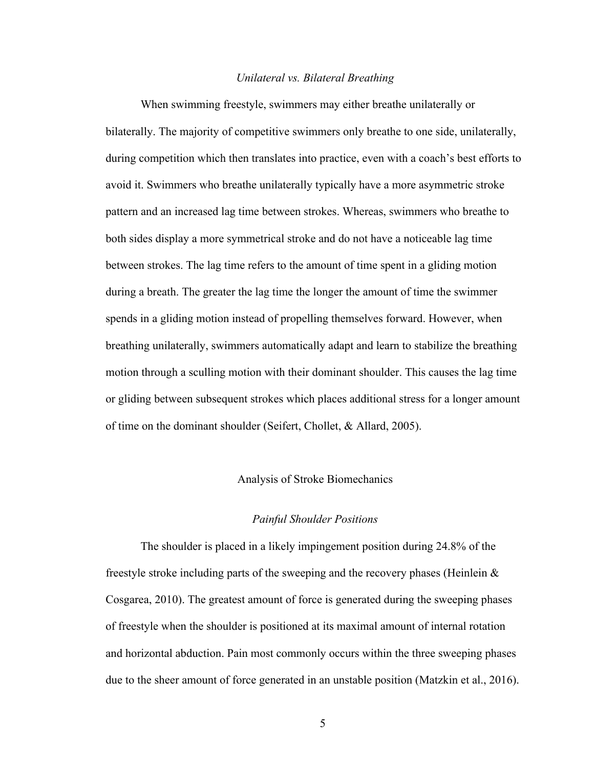#### *Unilateral vs. Bilateral Breathing*

 When swimming freestyle, swimmers may either breathe unilaterally or bilaterally. The majority of competitive swimmers only breathe to one side, unilaterally, during competition which then translates into practice, even with a coach's best efforts to avoid it. Swimmers who breathe unilaterally typically have a more asymmetric stroke pattern and an increased lag time between strokes. Whereas, swimmers who breathe to both sides display a more symmetrical stroke and do not have a noticeable lag time between strokes. The lag time refers to the amount of time spent in a gliding motion during a breath. The greater the lag time the longer the amount of time the swimmer spends in a gliding motion instead of propelling themselves forward. However, when breathing unilaterally, swimmers automatically adapt and learn to stabilize the breathing motion through a sculling motion with their dominant shoulder. This causes the lag time or gliding between subsequent strokes which places additional stress for a longer amount of time on the dominant shoulder (Seifert, Chollet, & Allard, 2005).

## Analysis of Stroke Biomechanics

## *Painful Shoulder Positions*

The shoulder is placed in a likely impingement position during 24.8% of the freestyle stroke including parts of the sweeping and the recovery phases (Heinlein & Cosgarea, 2010). The greatest amount of force is generated during the sweeping phases of freestyle when the shoulder is positioned at its maximal amount of internal rotation and horizontal abduction. Pain most commonly occurs within the three sweeping phases due to the sheer amount of force generated in an unstable position (Matzkin et al., 2016).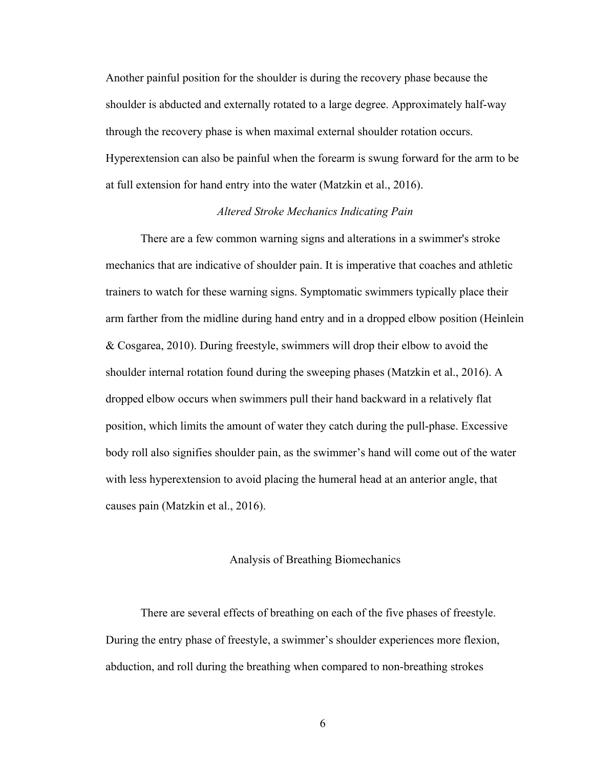Another painful position for the shoulder is during the recovery phase because the shoulder is abducted and externally rotated to a large degree. Approximately half-way through the recovery phase is when maximal external shoulder rotation occurs. Hyperextension can also be painful when the forearm is swung forward for the arm to be at full extension for hand entry into the water (Matzkin et al., 2016).

#### *Altered Stroke Mechanics Indicating Pain*

There are a few common warning signs and alterations in a swimmer's stroke mechanics that are indicative of shoulder pain. It is imperative that coaches and athletic trainers to watch for these warning signs. Symptomatic swimmers typically place their arm farther from the midline during hand entry and in a dropped elbow position (Heinlein & Cosgarea, 2010). During freestyle, swimmers will drop their elbow to avoid the shoulder internal rotation found during the sweeping phases (Matzkin et al., 2016). A dropped elbow occurs when swimmers pull their hand backward in a relatively flat position, which limits the amount of water they catch during the pull-phase. Excessive body roll also signifies shoulder pain, as the swimmer's hand will come out of the water with less hyperextension to avoid placing the humeral head at an anterior angle, that causes pain (Matzkin et al., 2016).

## Analysis of Breathing Biomechanics

There are several effects of breathing on each of the five phases of freestyle. During the entry phase of freestyle, a swimmer's shoulder experiences more flexion, abduction, and roll during the breathing when compared to non-breathing strokes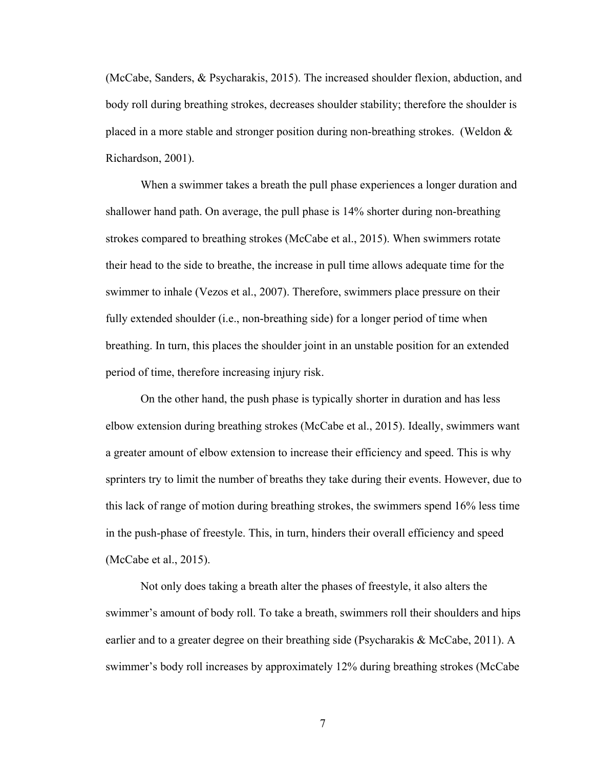(McCabe, Sanders, & Psycharakis, 2015). The increased shoulder flexion, abduction, and body roll during breathing strokes, decreases shoulder stability; therefore the shoulder is placed in a more stable and stronger position during non-breathing strokes. (Weldon & Richardson, 2001).

When a swimmer takes a breath the pull phase experiences a longer duration and shallower hand path. On average, the pull phase is 14% shorter during non-breathing strokes compared to breathing strokes (McCabe et al., 2015). When swimmers rotate their head to the side to breathe, the increase in pull time allows adequate time for the swimmer to inhale (Vezos et al., 2007). Therefore, swimmers place pressure on their fully extended shoulder (i.e., non-breathing side) for a longer period of time when breathing. In turn, this places the shoulder joint in an unstable position for an extended period of time, therefore increasing injury risk.

On the other hand, the push phase is typically shorter in duration and has less elbow extension during breathing strokes (McCabe et al., 2015). Ideally, swimmers want a greater amount of elbow extension to increase their efficiency and speed. This is why sprinters try to limit the number of breaths they take during their events. However, due to this lack of range of motion during breathing strokes, the swimmers spend 16% less time in the push-phase of freestyle. This, in turn, hinders their overall efficiency and speed (McCabe et al., 2015).

Not only does taking a breath alter the phases of freestyle, it also alters the swimmer's amount of body roll. To take a breath, swimmers roll their shoulders and hips earlier and to a greater degree on their breathing side (Psycharakis & McCabe, 2011). A swimmer's body roll increases by approximately 12% during breathing strokes (McCabe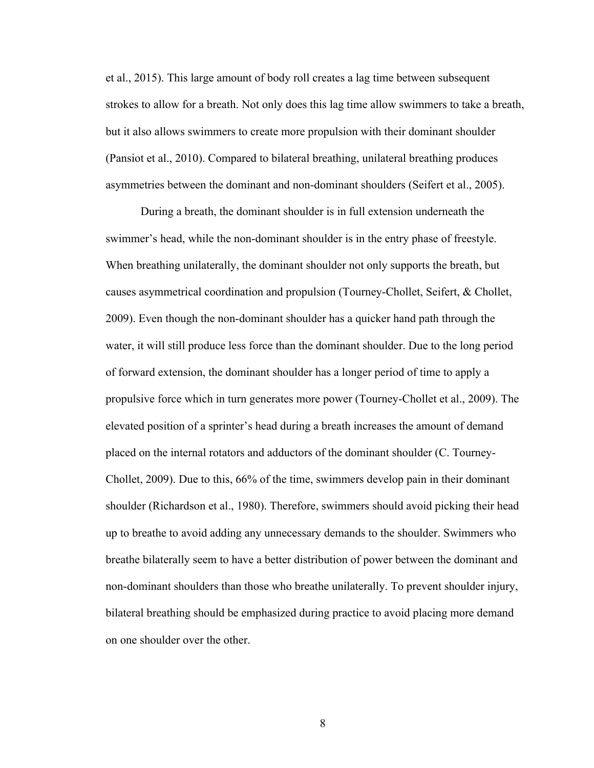et al., 2015). This large amount of body roll creates a lag time between subsequent strokes to allow for a breath. Not only does this lag time allow swimmers to take a breath, but it also allows swimmers to create more propulsion with their dominant shoulder (Pansiot et al., 2010). Compared to bilateral breathing, unilateral breathing produces asymmetries between the dominant and non-dominant shoulders (Seifert et al., 2005).

During a breath, the dominant shoulder is in full extension underneath the swimmer's head, while the non-dominant shoulder is in the entry phase of freestyle. When breathing unilaterally, the dominant shoulder not only supports the breath, but causes asymmetrical coordination and propulsion (Tourney-Chollet, Seifert, & Chollet, 2009). Even though the non-dominant shoulder has a quicker hand path through the water, it will still produce less force than the dominant shoulder. Due to the long period of forward extension, the dominant shoulder has a longer period of time to apply a propulsive force which in turn generates more power (Tourney-Chollet et al., 2009). The elevated position of a sprinter's head during a breath increases the amount of demand placed on the internal rotators and adductors of the dominant shoulder (C. Tourney-Chollet, 2009). Due to this, 66% of the time, swimmers develop pain in their dominant shoulder (Richardson et al., 1980). Therefore, swimmers should avoid picking their head up to breathe to avoid adding any unnecessary demands to the shoulder. Swimmers who breathe bilaterally seem to have a better distribution of power between the dominant and non-dominant shoulders than those who breathe unilaterally. To prevent shoulder injury, bilateral breathing should be emphasized during practice to avoid placing more demand on one shoulder over the other.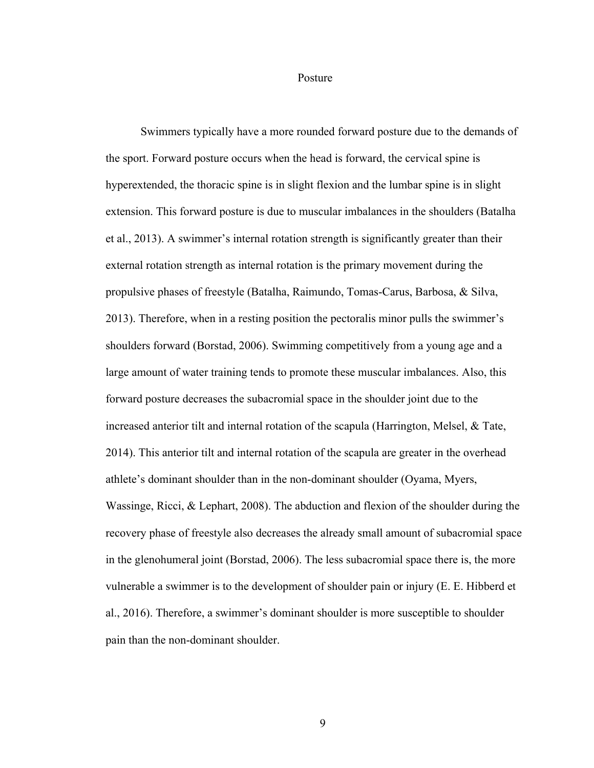#### Posture

Swimmers typically have a more rounded forward posture due to the demands of the sport. Forward posture occurs when the head is forward, the cervical spine is hyperextended, the thoracic spine is in slight flexion and the lumbar spine is in slight extension. This forward posture is due to muscular imbalances in the shoulders (Batalha et al., 2013). A swimmer's internal rotation strength is significantly greater than their external rotation strength as internal rotation is the primary movement during the propulsive phases of freestyle (Batalha, Raimundo, Tomas-Carus, Barbosa, & Silva, 2013). Therefore, when in a resting position the pectoralis minor pulls the swimmer's shoulders forward (Borstad, 2006). Swimming competitively from a young age and a large amount of water training tends to promote these muscular imbalances. Also, this forward posture decreases the subacromial space in the shoulder joint due to the increased anterior tilt and internal rotation of the scapula (Harrington, Melsel, & Tate, 2014). This anterior tilt and internal rotation of the scapula are greater in the overhead athlete's dominant shoulder than in the non-dominant shoulder (Oyama, Myers, Wassinge, Ricci, & Lephart, 2008). The abduction and flexion of the shoulder during the recovery phase of freestyle also decreases the already small amount of subacromial space in the glenohumeral joint (Borstad, 2006). The less subacromial space there is, the more vulnerable a swimmer is to the development of shoulder pain or injury (E. E. Hibberd et al., 2016). Therefore, a swimmer's dominant shoulder is more susceptible to shoulder pain than the non-dominant shoulder.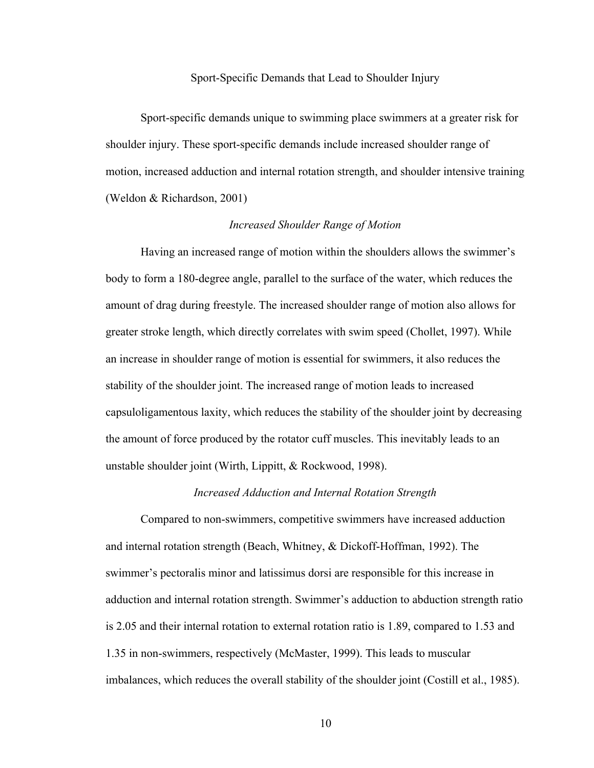#### Sport-Specific Demands that Lead to Shoulder Injury

 Sport-specific demands unique to swimming place swimmers at a greater risk for shoulder injury. These sport-specific demands include increased shoulder range of motion, increased adduction and internal rotation strength, and shoulder intensive training (Weldon & Richardson, 2001)

#### *Increased Shoulder Range of Motion*

 Having an increased range of motion within the shoulders allows the swimmer's body to form a 180-degree angle, parallel to the surface of the water, which reduces the amount of drag during freestyle. The increased shoulder range of motion also allows for greater stroke length, which directly correlates with swim speed (Chollet, 1997). While an increase in shoulder range of motion is essential for swimmers, it also reduces the stability of the shoulder joint. The increased range of motion leads to increased capsuloligamentous laxity, which reduces the stability of the shoulder joint by decreasing the amount of force produced by the rotator cuff muscles. This inevitably leads to an unstable shoulder joint (Wirth, Lippitt, & Rockwood, 1998).

## *Increased Adduction and Internal Rotation Strength*

Compared to non-swimmers, competitive swimmers have increased adduction and internal rotation strength (Beach, Whitney, & Dickoff-Hoffman, 1992). The swimmer's pectoralis minor and latissimus dorsi are responsible for this increase in adduction and internal rotation strength. Swimmer's adduction to abduction strength ratio is 2.05 and their internal rotation to external rotation ratio is 1.89, compared to 1.53 and 1.35 in non-swimmers, respectively (McMaster, 1999). This leads to muscular imbalances, which reduces the overall stability of the shoulder joint (Costill et al., 1985).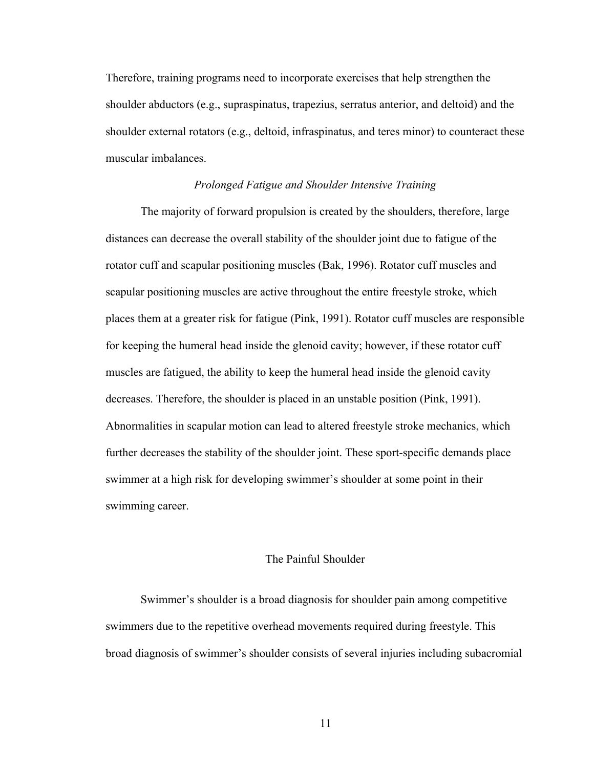Therefore, training programs need to incorporate exercises that help strengthen the shoulder abductors (e.g., supraspinatus, trapezius, serratus anterior, and deltoid) and the shoulder external rotators (e.g., deltoid, infraspinatus, and teres minor) to counteract these muscular imbalances.

## *Prolonged Fatigue and Shoulder Intensive Training*

The majority of forward propulsion is created by the shoulders, therefore, large distances can decrease the overall stability of the shoulder joint due to fatigue of the rotator cuff and scapular positioning muscles (Bak, 1996). Rotator cuff muscles and scapular positioning muscles are active throughout the entire freestyle stroke, which places them at a greater risk for fatigue (Pink, 1991). Rotator cuff muscles are responsible for keeping the humeral head inside the glenoid cavity; however, if these rotator cuff muscles are fatigued, the ability to keep the humeral head inside the glenoid cavity decreases. Therefore, the shoulder is placed in an unstable position (Pink, 1991). Abnormalities in scapular motion can lead to altered freestyle stroke mechanics, which further decreases the stability of the shoulder joint. These sport-specific demands place swimmer at a high risk for developing swimmer's shoulder at some point in their swimming career.

## The Painful Shoulder

Swimmer's shoulder is a broad diagnosis for shoulder pain among competitive swimmers due to the repetitive overhead movements required during freestyle. This broad diagnosis of swimmer's shoulder consists of several injuries including subacromial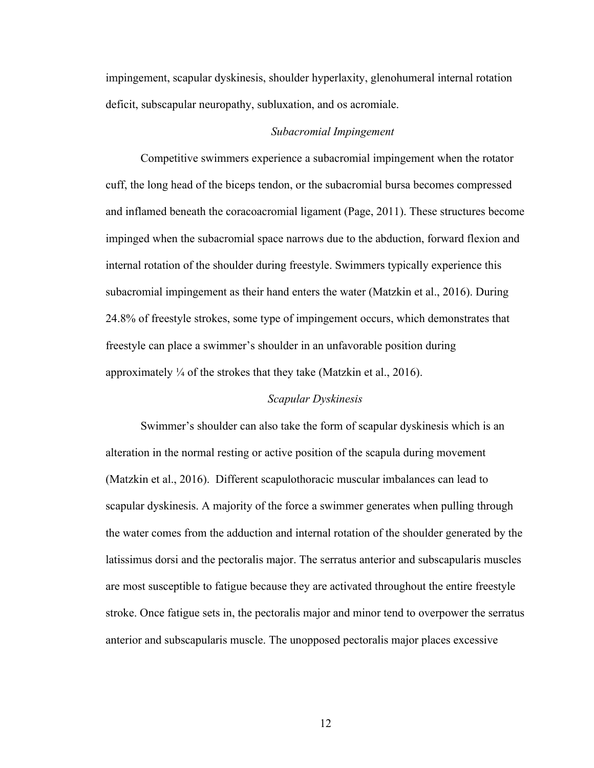impingement, scapular dyskinesis, shoulder hyperlaxity, glenohumeral internal rotation deficit, subscapular neuropathy, subluxation, and os acromiale.

## *Subacromial Impingement*

Competitive swimmers experience a subacromial impingement when the rotator cuff, the long head of the biceps tendon, or the subacromial bursa becomes compressed and inflamed beneath the coracoacromial ligament (Page, 2011). These structures become impinged when the subacromial space narrows due to the abduction, forward flexion and internal rotation of the shoulder during freestyle. Swimmers typically experience this subacromial impingement as their hand enters the water (Matzkin et al., 2016). During 24.8% of freestyle strokes, some type of impingement occurs, which demonstrates that freestyle can place a swimmer's shoulder in an unfavorable position during approximately  $\frac{1}{4}$  of the strokes that they take (Matzkin et al., 2016).

## *Scapular Dyskinesis*

Swimmer's shoulder can also take the form of scapular dyskinesis which is an alteration in the normal resting or active position of the scapula during movement (Matzkin et al., 2016). Different scapulothoracic muscular imbalances can lead to scapular dyskinesis. A majority of the force a swimmer generates when pulling through the water comes from the adduction and internal rotation of the shoulder generated by the latissimus dorsi and the pectoralis major. The serratus anterior and subscapularis muscles are most susceptible to fatigue because they are activated throughout the entire freestyle stroke. Once fatigue sets in, the pectoralis major and minor tend to overpower the serratus anterior and subscapularis muscle. The unopposed pectoralis major places excessive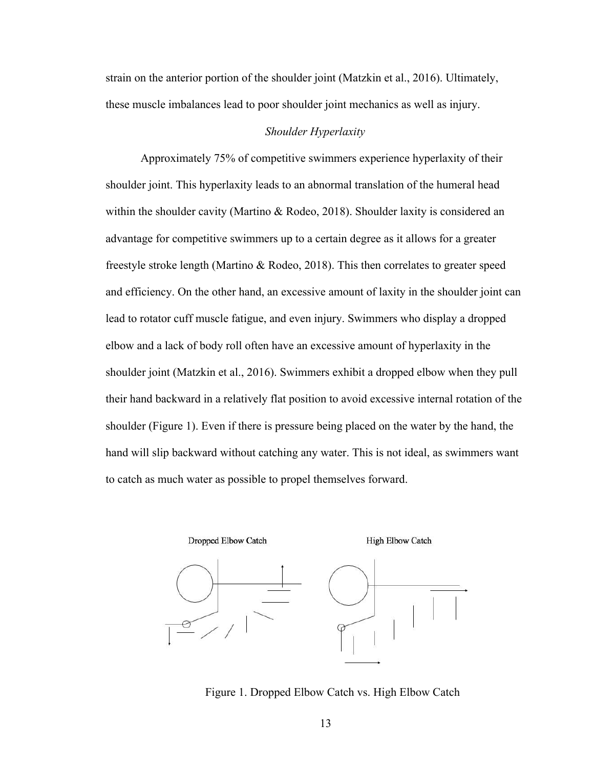strain on the anterior portion of the shoulder joint (Matzkin et al., 2016). Ultimately, these muscle imbalances lead to poor shoulder joint mechanics as well as injury.

#### *Shoulder Hyperlaxity*

Approximately 75% of competitive swimmers experience hyperlaxity of their shoulder joint. This hyperlaxity leads to an abnormal translation of the humeral head within the shoulder cavity (Martino & Rodeo, 2018). Shoulder laxity is considered an advantage for competitive swimmers up to a certain degree as it allows for a greater freestyle stroke length (Martino & Rodeo, 2018). This then correlates to greater speed and efficiency. On the other hand, an excessive amount of laxity in the shoulder joint can lead to rotator cuff muscle fatigue, and even injury. Swimmers who display a dropped elbow and a lack of body roll often have an excessive amount of hyperlaxity in the shoulder joint (Matzkin et al., 2016). Swimmers exhibit a dropped elbow when they pull their hand backward in a relatively flat position to avoid excessive internal rotation of the shoulder (Figure 1). Even if there is pressure being placed on the water by the hand, the hand will slip backward without catching any water. This is not ideal, as swimmers want to catch as much water as possible to propel themselves forward.



Figure 1. Dropped Elbow Catch vs. High Elbow Catch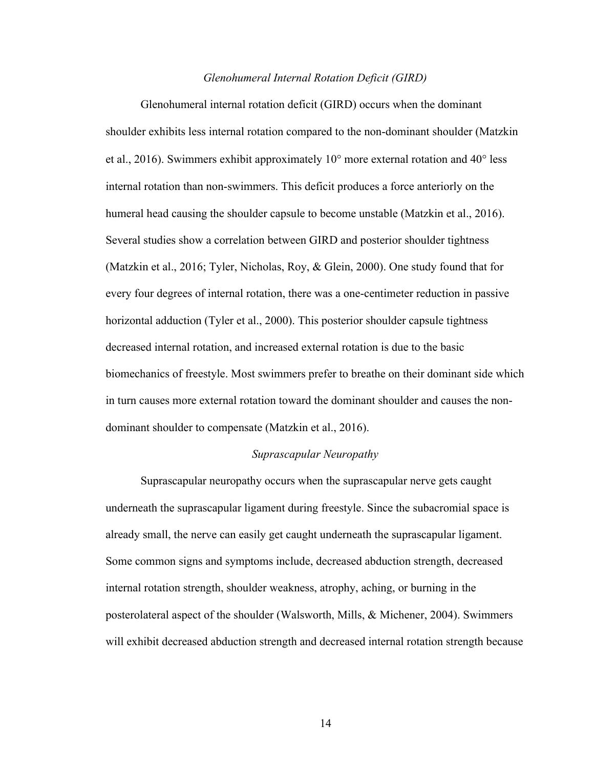#### *Glenohumeral Internal Rotation Deficit (GIRD)*

Glenohumeral internal rotation deficit (GIRD) occurs when the dominant shoulder exhibits less internal rotation compared to the non-dominant shoulder (Matzkin et al., 2016). Swimmers exhibit approximately 10° more external rotation and 40° less internal rotation than non-swimmers. This deficit produces a force anteriorly on the humeral head causing the shoulder capsule to become unstable (Matzkin et al., 2016). Several studies show a correlation between GIRD and posterior shoulder tightness (Matzkin et al., 2016; Tyler, Nicholas, Roy, & Glein, 2000). One study found that for every four degrees of internal rotation, there was a one-centimeter reduction in passive horizontal adduction (Tyler et al., 2000). This posterior shoulder capsule tightness decreased internal rotation, and increased external rotation is due to the basic biomechanics of freestyle. Most swimmers prefer to breathe on their dominant side which in turn causes more external rotation toward the dominant shoulder and causes the nondominant shoulder to compensate (Matzkin et al., 2016).

## *Suprascapular Neuropathy*

 Suprascapular neuropathy occurs when the suprascapular nerve gets caught underneath the suprascapular ligament during freestyle. Since the subacromial space is already small, the nerve can easily get caught underneath the suprascapular ligament. Some common signs and symptoms include, decreased abduction strength, decreased internal rotation strength, shoulder weakness, atrophy, aching, or burning in the posterolateral aspect of the shoulder (Walsworth, Mills, & Michener, 2004). Swimmers will exhibit decreased abduction strength and decreased internal rotation strength because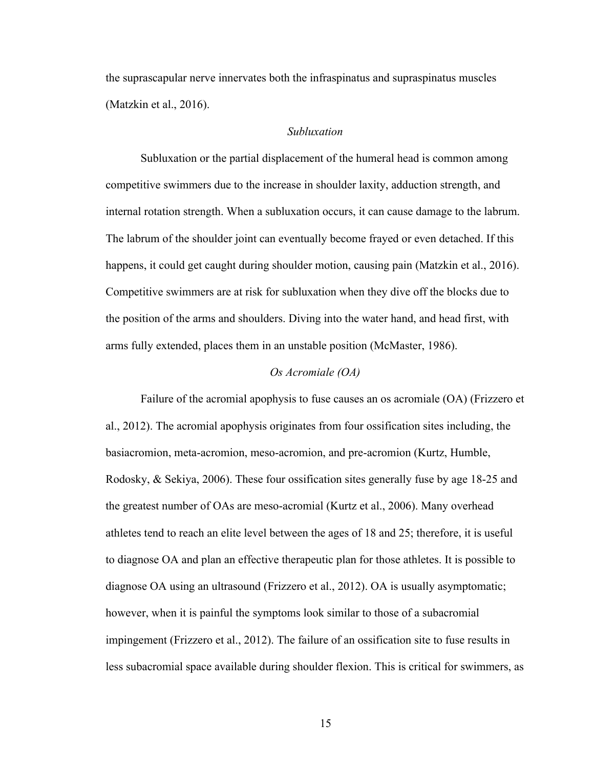the suprascapular nerve innervates both the infraspinatus and supraspinatus muscles (Matzkin et al., 2016).

## *Subluxation*

Subluxation or the partial displacement of the humeral head is common among competitive swimmers due to the increase in shoulder laxity, adduction strength, and internal rotation strength. When a subluxation occurs, it can cause damage to the labrum. The labrum of the shoulder joint can eventually become frayed or even detached. If this happens, it could get caught during shoulder motion, causing pain (Matzkin et al., 2016). Competitive swimmers are at risk for subluxation when they dive off the blocks due to the position of the arms and shoulders. Diving into the water hand, and head first, with arms fully extended, places them in an unstable position (McMaster, 1986).

## *Os Acromiale (OA)*

 Failure of the acromial apophysis to fuse causes an os acromiale (OA) (Frizzero et al., 2012). The acromial apophysis originates from four ossification sites including, the basiacromion, meta-acromion, meso-acromion, and pre-acromion (Kurtz, Humble, Rodosky, & Sekiya, 2006). These four ossification sites generally fuse by age 18-25 and the greatest number of OAs are meso-acromial (Kurtz et al., 2006). Many overhead athletes tend to reach an elite level between the ages of 18 and 25; therefore, it is useful to diagnose OA and plan an effective therapeutic plan for those athletes. It is possible to diagnose OA using an ultrasound (Frizzero et al., 2012). OA is usually asymptomatic; however, when it is painful the symptoms look similar to those of a subacromial impingement (Frizzero et al., 2012). The failure of an ossification site to fuse results in less subacromial space available during shoulder flexion. This is critical for swimmers, as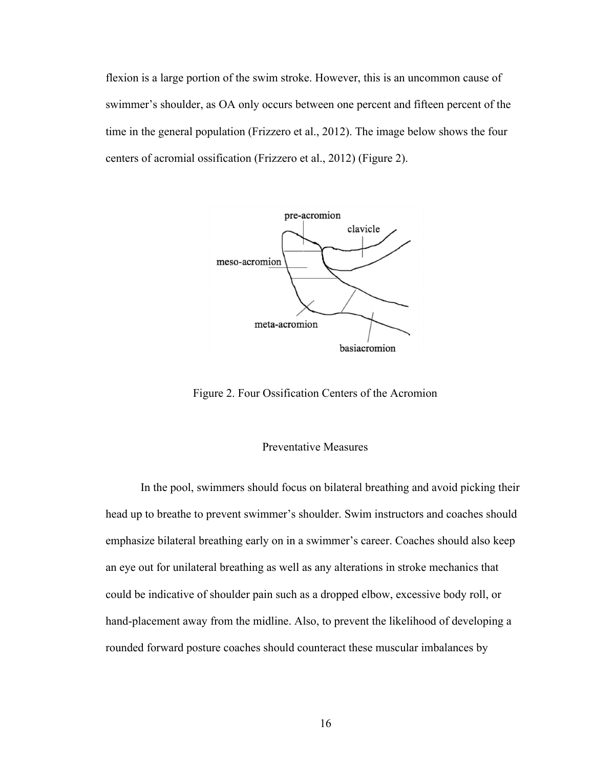flexion is a large portion of the swim stroke. However, this is an uncommon cause of swimmer's shoulder, as OA only occurs between one percent and fifteen percent of the time in the general population (Frizzero et al., 2012). The image below shows the four centers of acromial ossification (Frizzero et al., 2012) (Figure 2).



Figure 2. Four Ossification Centers of the Acromion

## Preventative Measures

In the pool, swimmers should focus on bilateral breathing and avoid picking their head up to breathe to prevent swimmer's shoulder. Swim instructors and coaches should emphasize bilateral breathing early on in a swimmer's career. Coaches should also keep an eye out for unilateral breathing as well as any alterations in stroke mechanics that could be indicative of shoulder pain such as a dropped elbow, excessive body roll, or hand-placement away from the midline. Also, to prevent the likelihood of developing a rounded forward posture coaches should counteract these muscular imbalances by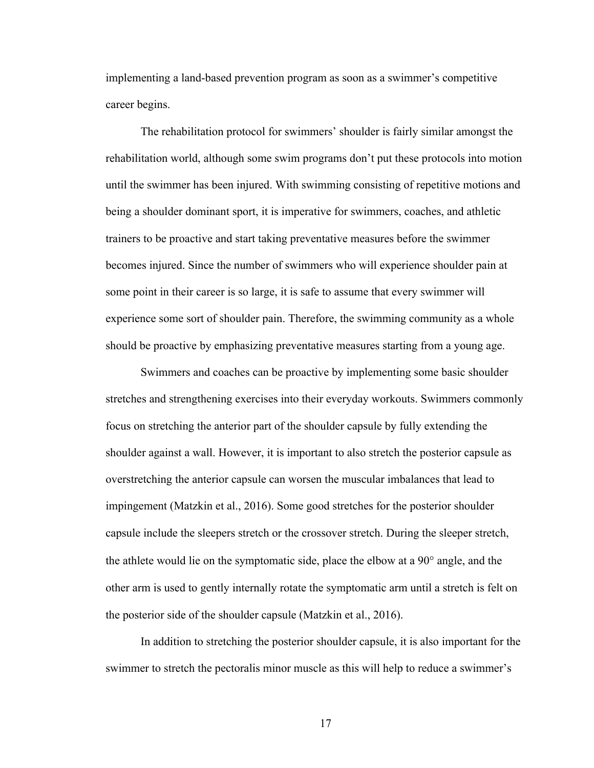implementing a land-based prevention program as soon as a swimmer's competitive career begins.

The rehabilitation protocol for swimmers' shoulder is fairly similar amongst the rehabilitation world, although some swim programs don't put these protocols into motion until the swimmer has been injured. With swimming consisting of repetitive motions and being a shoulder dominant sport, it is imperative for swimmers, coaches, and athletic trainers to be proactive and start taking preventative measures before the swimmer becomes injured. Since the number of swimmers who will experience shoulder pain at some point in their career is so large, it is safe to assume that every swimmer will experience some sort of shoulder pain. Therefore, the swimming community as a whole should be proactive by emphasizing preventative measures starting from a young age.

 Swimmers and coaches can be proactive by implementing some basic shoulder stretches and strengthening exercises into their everyday workouts. Swimmers commonly focus on stretching the anterior part of the shoulder capsule by fully extending the shoulder against a wall. However, it is important to also stretch the posterior capsule as overstretching the anterior capsule can worsen the muscular imbalances that lead to impingement (Matzkin et al., 2016). Some good stretches for the posterior shoulder capsule include the sleepers stretch or the crossover stretch. During the sleeper stretch, the athlete would lie on the symptomatic side, place the elbow at a 90° angle, and the other arm is used to gently internally rotate the symptomatic arm until a stretch is felt on the posterior side of the shoulder capsule (Matzkin et al., 2016).

In addition to stretching the posterior shoulder capsule, it is also important for the swimmer to stretch the pectoralis minor muscle as this will help to reduce a swimmer's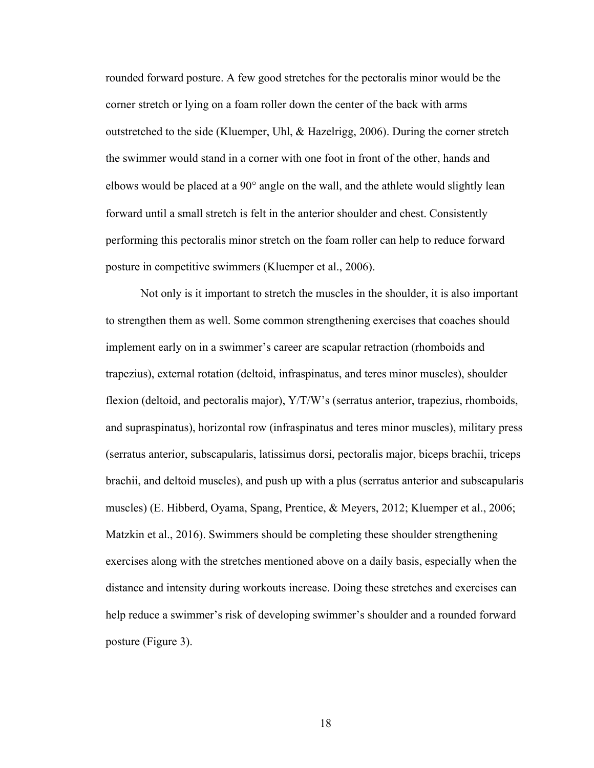rounded forward posture. A few good stretches for the pectoralis minor would be the corner stretch or lying on a foam roller down the center of the back with arms outstretched to the side (Kluemper, Uhl, & Hazelrigg, 2006). During the corner stretch the swimmer would stand in a corner with one foot in front of the other, hands and elbows would be placed at a 90° angle on the wall, and the athlete would slightly lean forward until a small stretch is felt in the anterior shoulder and chest. Consistently performing this pectoralis minor stretch on the foam roller can help to reduce forward posture in competitive swimmers (Kluemper et al., 2006).

Not only is it important to stretch the muscles in the shoulder, it is also important to strengthen them as well. Some common strengthening exercises that coaches should implement early on in a swimmer's career are scapular retraction (rhomboids and trapezius), external rotation (deltoid, infraspinatus, and teres minor muscles), shoulder flexion (deltoid, and pectoralis major), Y/T/W's (serratus anterior, trapezius, rhomboids, and supraspinatus), horizontal row (infraspinatus and teres minor muscles), military press (serratus anterior, subscapularis, latissimus dorsi, pectoralis major, biceps brachii, triceps brachii, and deltoid muscles), and push up with a plus (serratus anterior and subscapularis muscles) (E. Hibberd, Oyama, Spang, Prentice, & Meyers, 2012; Kluemper et al., 2006; Matzkin et al., 2016). Swimmers should be completing these shoulder strengthening exercises along with the stretches mentioned above on a daily basis, especially when the distance and intensity during workouts increase. Doing these stretches and exercises can help reduce a swimmer's risk of developing swimmer's shoulder and a rounded forward posture (Figure 3).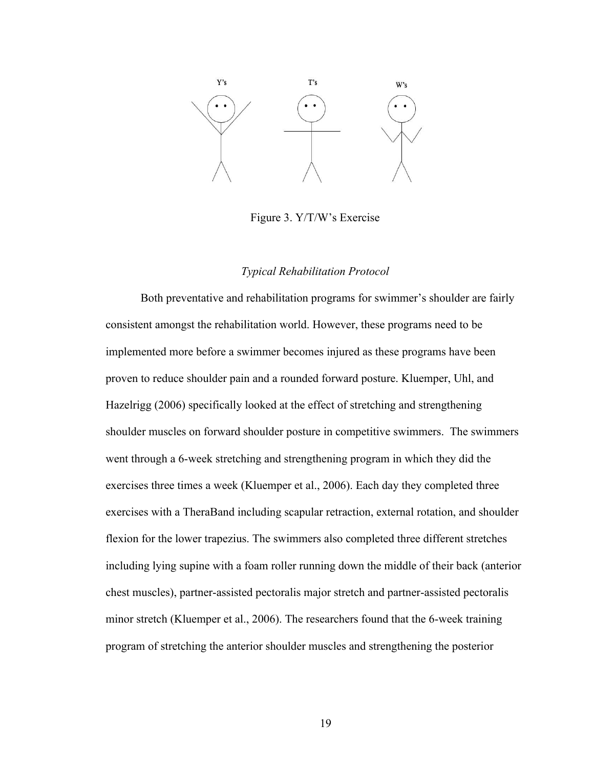

Figure 3. Y/T/W's Exercise

## *Typical Rehabilitation Protocol*

 Both preventative and rehabilitation programs for swimmer's shoulder are fairly consistent amongst the rehabilitation world. However, these programs need to be implemented more before a swimmer becomes injured as these programs have been proven to reduce shoulder pain and a rounded forward posture. Kluemper, Uhl, and Hazelrigg (2006) specifically looked at the effect of stretching and strengthening shoulder muscles on forward shoulder posture in competitive swimmers. The swimmers went through a 6-week stretching and strengthening program in which they did the exercises three times a week (Kluemper et al., 2006). Each day they completed three exercises with a TheraBand including scapular retraction, external rotation, and shoulder flexion for the lower trapezius. The swimmers also completed three different stretches including lying supine with a foam roller running down the middle of their back (anterior chest muscles), partner-assisted pectoralis major stretch and partner-assisted pectoralis minor stretch (Kluemper et al., 2006). The researchers found that the 6-week training program of stretching the anterior shoulder muscles and strengthening the posterior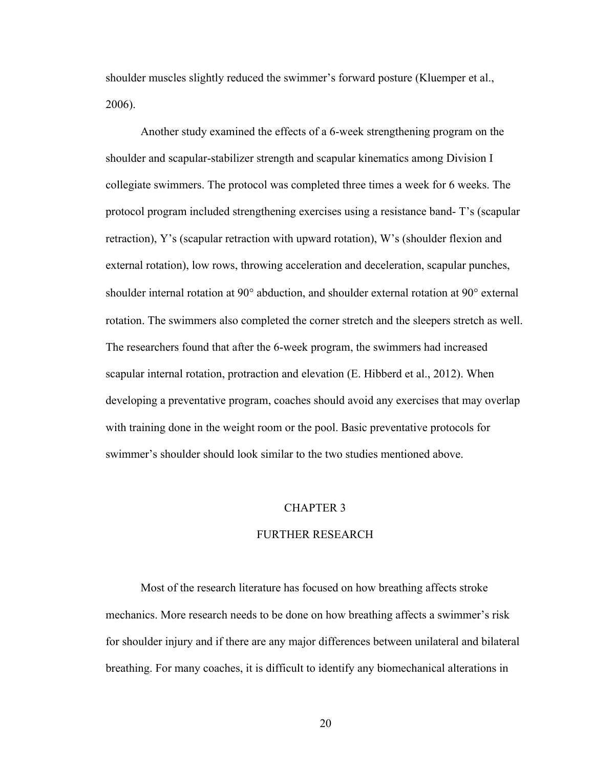shoulder muscles slightly reduced the swimmer's forward posture (Kluemper et al., 2006).

Another study examined the effects of a 6-week strengthening program on the shoulder and scapular-stabilizer strength and scapular kinematics among Division I collegiate swimmers. The protocol was completed three times a week for 6 weeks. The protocol program included strengthening exercises using a resistance band- T's (scapular retraction), Y's (scapular retraction with upward rotation), W's (shoulder flexion and external rotation), low rows, throwing acceleration and deceleration, scapular punches, shoulder internal rotation at 90° abduction, and shoulder external rotation at 90° external rotation. The swimmers also completed the corner stretch and the sleepers stretch as well. The researchers found that after the 6-week program, the swimmers had increased scapular internal rotation, protraction and elevation (E. Hibberd et al., 2012). When developing a preventative program, coaches should avoid any exercises that may overlap with training done in the weight room or the pool. Basic preventative protocols for swimmer's shoulder should look similar to the two studies mentioned above.

#### CHAPTER 3

## FURTHER RESEARCH

Most of the research literature has focused on how breathing affects stroke mechanics. More research needs to be done on how breathing affects a swimmer's risk for shoulder injury and if there are any major differences between unilateral and bilateral breathing. For many coaches, it is difficult to identify any biomechanical alterations in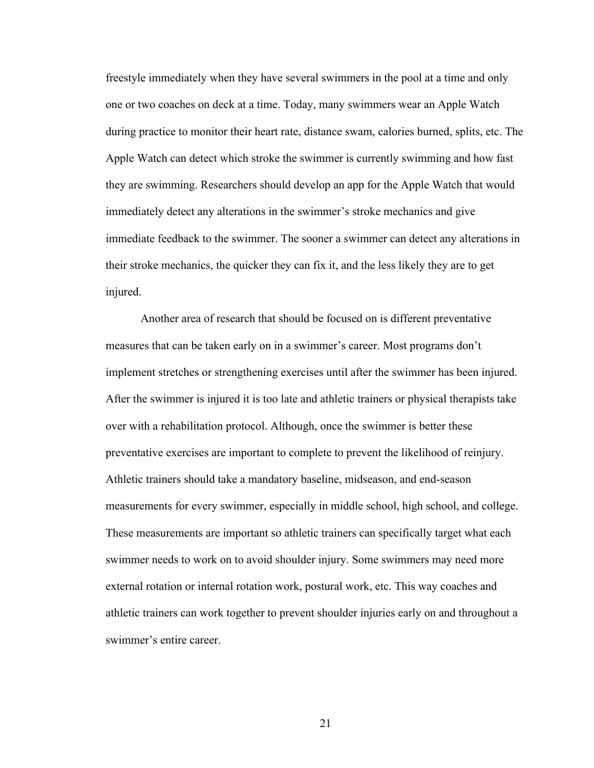freestyle immediately when they have several swimmers in the pool at a time and only one or two coaches on deck at a time. Today, many swimmers wear an Apple Watch during practice to monitor their heart rate, distance swam, calories burned, splits, etc. The Apple Watch can detect which stroke the swimmer is currently swimming and how fast they are swimming. Researchers should develop an app for the Apple Watch that would immediately detect any alterations in the swimmer's stroke mechanics and give immediate feedback to the swimmer. The sooner a swimmer can detect any alterations in their stroke mechanics, the quicker they can fix it, and the less likely they are to get injured.

Another area of research that should be focused on is different preventative measures that can be taken early on in a swimmer's career. Most programs don't implement stretches or strengthening exercises until after the swimmer has been injured. After the swimmer is injured it is too late and athletic trainers or physical therapists take over with a rehabilitation protocol. Although, once the swimmer is better these preventative exercises are important to complete to prevent the likelihood of reinjury. Athletic trainers should take a mandatory baseline, midseason, and end-season measurements for every swimmer, especially in middle school, high school, and college. These measurements are important so athletic trainers can specifically target what each swimmer needs to work on to avoid shoulder injury. Some swimmers may need more external rotation or internal rotation work, postural work, etc. This way coaches and athletic trainers can work together to prevent shoulder injuries early on and throughout a swimmer's entire career.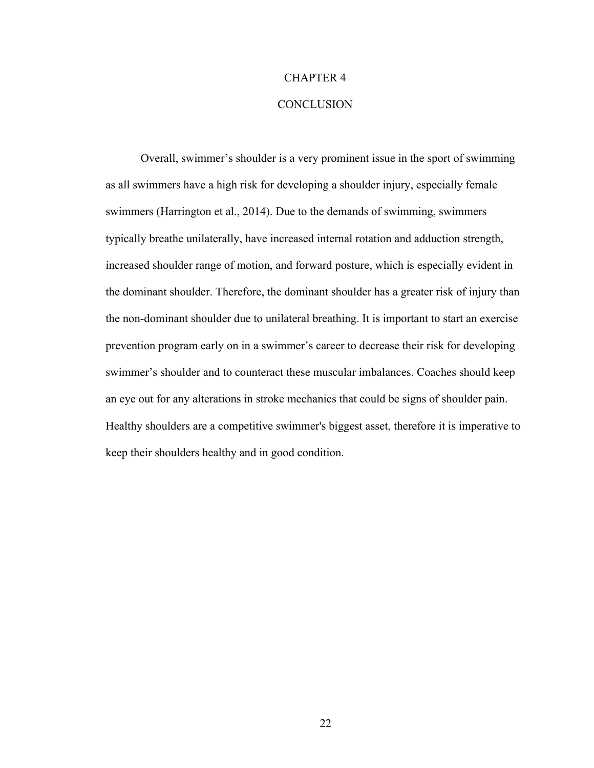## CHAPTER 4

## **CONCLUSION**

 Overall, swimmer's shoulder is a very prominent issue in the sport of swimming as all swimmers have a high risk for developing a shoulder injury, especially female swimmers (Harrington et al., 2014). Due to the demands of swimming, swimmers typically breathe unilaterally, have increased internal rotation and adduction strength, increased shoulder range of motion, and forward posture, which is especially evident in the dominant shoulder. Therefore, the dominant shoulder has a greater risk of injury than the non-dominant shoulder due to unilateral breathing. It is important to start an exercise prevention program early on in a swimmer's career to decrease their risk for developing swimmer's shoulder and to counteract these muscular imbalances. Coaches should keep an eye out for any alterations in stroke mechanics that could be signs of shoulder pain. Healthy shoulders are a competitive swimmer's biggest asset, therefore it is imperative to keep their shoulders healthy and in good condition.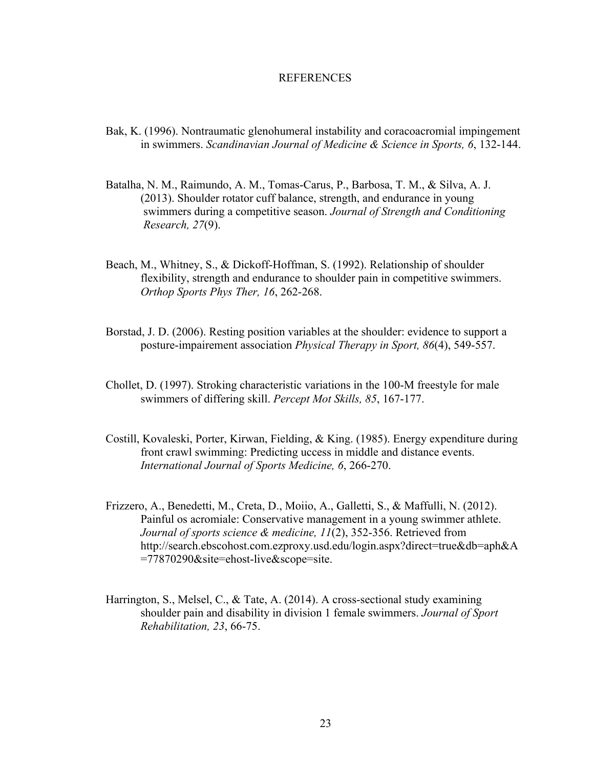#### **REFERENCES**

- Bak, K. (1996). Nontraumatic glenohumeral instability and coracoacromial impingement in swimmers. *Scandinavian Journal of Medicine & Science in Sports, 6*, 132-144.
- Batalha, N. M., Raimundo, A. M., Tomas-Carus, P., Barbosa, T. M., & Silva, A. J. (2013). Shoulder rotator cuff balance, strength, and endurance in young swimmers during a competitive season. *Journal of Strength and Conditioning Research, 27*(9).
- Beach, M., Whitney, S., & Dickoff-Hoffman, S. (1992). Relationship of shoulder flexibility, strength and endurance to shoulder pain in competitive swimmers. *Orthop Sports Phys Ther, 16*, 262-268.
- Borstad, J. D. (2006). Resting position variables at the shoulder: evidence to support a posture-impairement association *Physical Therapy in Sport, 86*(4), 549-557.
- Chollet, D. (1997). Stroking characteristic variations in the 100-M freestyle for male swimmers of differing skill. *Percept Mot Skills, 85*, 167-177.
- Costill, Kovaleski, Porter, Kirwan, Fielding, & King. (1985). Energy expenditure during front crawl swimming: Predicting uccess in middle and distance events. *International Journal of Sports Medicine, 6*, 266-270.
- Frizzero, A., Benedetti, M., Creta, D., Moiio, A., Galletti, S., & Maffulli, N. (2012). Painful os acromiale: Conservative management in a young swimmer athlete. *Journal of sports science & medicine, 11*(2), 352-356. Retrieved from http://search.ebscohost.com.ezproxy.usd.edu/login.aspx?direct=true&db=aph&A =77870290&site=ehost-live&scope=site.
- Harrington, S., Melsel, C., & Tate, A. (2014). A cross-sectional study examining shoulder pain and disability in division 1 female swimmers. *Journal of Sport Rehabilitation, 23*, 66-75.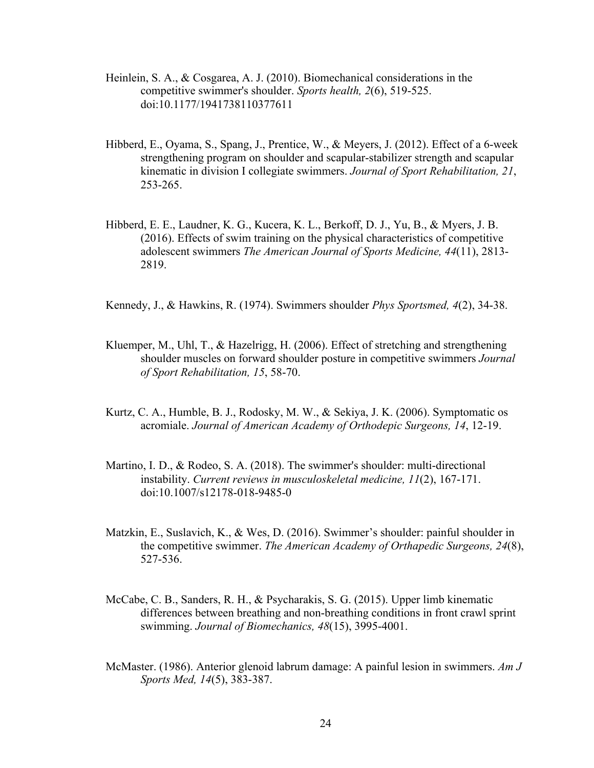- Heinlein, S. A., & Cosgarea, A. J. (2010). Biomechanical considerations in the competitive swimmer's shoulder. *Sports health, 2*(6), 519-525. doi:10.1177/1941738110377611
- Hibberd, E., Oyama, S., Spang, J., Prentice, W., & Meyers, J. (2012). Effect of a 6-week strengthening program on shoulder and scapular-stabilizer strength and scapular kinematic in division I collegiate swimmers. *Journal of Sport Rehabilitation, 21*, 253-265.
- Hibberd, E. E., Laudner, K. G., Kucera, K. L., Berkoff, D. J., Yu, B., & Myers, J. B. (2016). Effects of swim training on the physical characteristics of competitive adolescent swimmers *The American Journal of Sports Medicine, 44*(11), 2813- 2819.

Kennedy, J., & Hawkins, R. (1974). Swimmers shoulder *Phys Sportsmed, 4*(2), 34-38.

- Kluemper, M., Uhl, T., & Hazelrigg, H. (2006). Effect of stretching and strengthening shoulder muscles on forward shoulder posture in competitive swimmers *Journal of Sport Rehabilitation, 15*, 58-70.
- Kurtz, C. A., Humble, B. J., Rodosky, M. W., & Sekiya, J. K. (2006). Symptomatic os acromiale. *Journal of American Academy of Orthodepic Surgeons, 14*, 12-19.
- Martino, I. D., & Rodeo, S. A. (2018). The swimmer's shoulder: multi-directional instability. *Current reviews in musculoskeletal medicine, 11*(2), 167-171. doi:10.1007/s12178-018-9485-0
- Matzkin, E., Suslavich, K., & Wes, D. (2016). Swimmer's shoulder: painful shoulder in the competitive swimmer. *The American Academy of Orthapedic Surgeons, 24*(8), 527-536.
- McCabe, C. B., Sanders, R. H., & Psycharakis, S. G. (2015). Upper limb kinematic differences between breathing and non-breathing conditions in front crawl sprint swimming. *Journal of Biomechanics, 48*(15), 3995-4001.
- McMaster. (1986). Anterior glenoid labrum damage: A painful lesion in swimmers. *Am J Sports Med, 14*(5), 383-387.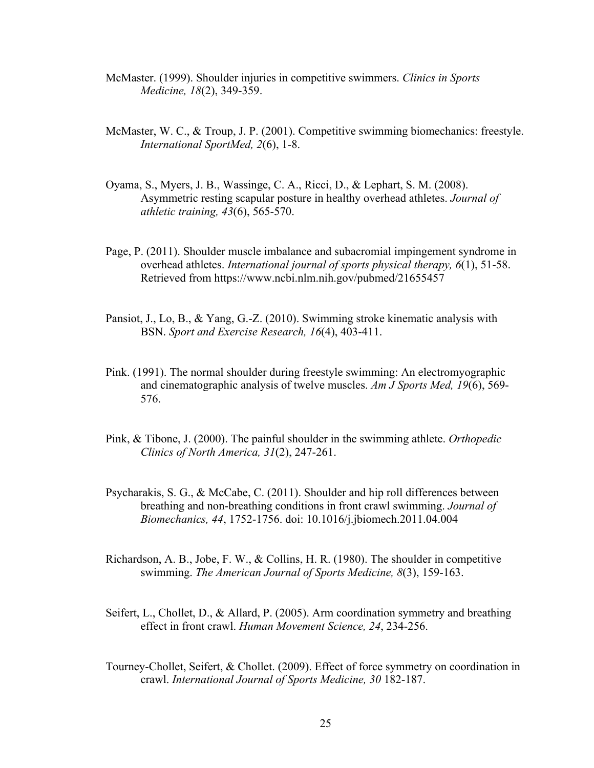- McMaster. (1999). Shoulder injuries in competitive swimmers. *Clinics in Sports Medicine, 18*(2), 349-359.
- McMaster, W. C., & Troup, J. P. (2001). Competitive swimming biomechanics: freestyle. *International SportMed, 2*(6), 1-8.
- Oyama, S., Myers, J. B., Wassinge, C. A., Ricci, D., & Lephart, S. M. (2008). Asymmetric resting scapular posture in healthy overhead athletes. *Journal of athletic training, 43*(6), 565-570.
- Page, P. (2011). Shoulder muscle imbalance and subacromial impingement syndrome in overhead athletes. *International journal of sports physical therapy, 6*(1), 51-58. Retrieved from https://www.ncbi.nlm.nih.gov/pubmed/21655457
- Pansiot, J., Lo, B., & Yang, G.-Z. (2010). Swimming stroke kinematic analysis with BSN. *Sport and Exercise Research, 16*(4), 403-411.
- Pink. (1991). The normal shoulder during freestyle swimming: An electromyographic and cinematographic analysis of twelve muscles. *Am J Sports Med, 19*(6), 569- 576.
- Pink, & Tibone, J. (2000). The painful shoulder in the swimming athlete. *Orthopedic Clinics of North America, 31*(2), 247-261.
- Psycharakis, S. G., & McCabe, C. (2011). Shoulder and hip roll differences between breathing and non-breathing conditions in front crawl swimming. *Journal of Biomechanics, 44*, 1752-1756. doi: 10.1016/j.jbiomech.2011.04.004
- Richardson, A. B., Jobe, F. W., & Collins, H. R. (1980). The shoulder in competitive swimming. *The American Journal of Sports Medicine, 8*(3), 159-163.
- Seifert, L., Chollet, D., & Allard, P. (2005). Arm coordination symmetry and breathing effect in front crawl. *Human Movement Science, 24*, 234-256.
- Tourney-Chollet, Seifert, & Chollet. (2009). Effect of force symmetry on coordination in crawl. *International Journal of Sports Medicine, 30* 182-187.